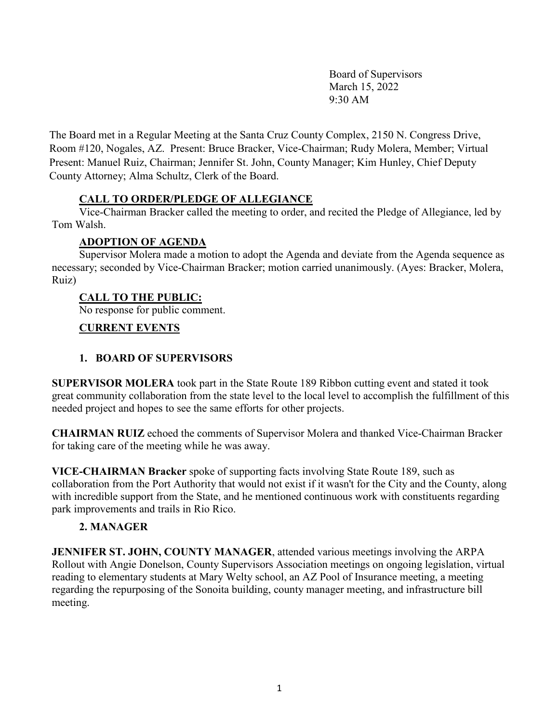Board of Supervisors March 15, 2022 9:30 AM

The Board met in a Regular Meeting at the Santa Cruz County Complex, 2150 N. Congress Drive, Room #120, Nogales, AZ. Present: Bruce Bracker, Vice-Chairman; Rudy Molera, Member; Virtual Present: Manuel Ruiz, Chairman; Jennifer St. John, County Manager; Kim Hunley, Chief Deputy County Attorney; Alma Schultz, Clerk of the Board.

# **CALL TO ORDER/PLEDGE OF ALLEGIANCE**

Vice-Chairman Bracker called the meeting to order, and recited the Pledge of Allegiance, led by Tom Walsh.

# **ADOPTION OF AGENDA**

Supervisor Molera made a motion to adopt the Agenda and deviate from the Agenda sequence as necessary; seconded by Vice-Chairman Bracker; motion carried unanimously. (Ayes: Bracker, Molera, Ruiz)

# **CALL TO THE PUBLIC:**

No response for public comment.

# **CURRENT EVENTS**

# **1. BOARD OF SUPERVISORS**

**SUPERVISOR MOLERA** took part in the State Route 189 Ribbon cutting event and stated it took great community collaboration from the state level to the local level to accomplish the fulfillment of this needed project and hopes to see the same efforts for other projects.

**CHAIRMAN RUIZ** echoed the comments of Supervisor Molera and thanked Vice-Chairman Bracker for taking care of the meeting while he was away.

**VICE-CHAIRMAN Bracker** spoke of supporting facts involving State Route 189, such as collaboration from the Port Authority that would not exist if it wasn't for the City and the County, along with incredible support from the State, and he mentioned continuous work with constituents regarding park improvements and trails in Rio Rico.

# **2. MANAGER**

**JENNIFER ST. JOHN, COUNTY MANAGER**, attended various meetings involving the ARPA Rollout with Angie Donelson, County Supervisors Association meetings on ongoing legislation, virtual reading to elementary students at Mary Welty school, an AZ Pool of Insurance meeting, a meeting regarding the repurposing of the Sonoita building, county manager meeting, and infrastructure bill meeting.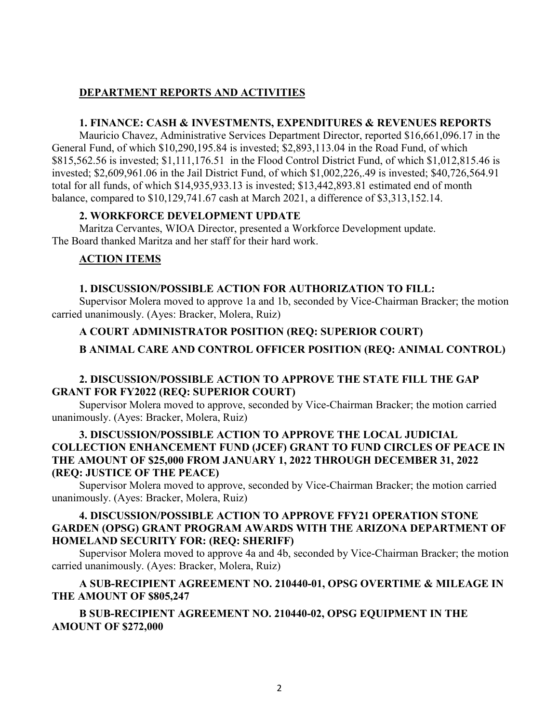# **DEPARTMENT REPORTS AND ACTIVITIES**

#### **1. FINANCE: CASH & INVESTMENTS, EXPENDITURES & REVENUES REPORTS**

Mauricio Chavez, Administrative Services Department Director, reported \$16,661,096.17 in the General Fund, of which \$10,290,195.84 is invested; \$2,893,113.04 in the Road Fund, of which \$815,562.56 is invested; \$1,111,176.51 in the Flood Control District Fund, of which \$1,012,815.46 is invested; \$2,609,961.06 in the Jail District Fund, of which \$1,002,226,.49 is invested; \$40,726,564.91 total for all funds, of which \$14,935,933.13 is invested; \$13,442,893.81 estimated end of month balance, compared to \$10,129,741.67 cash at March 2021, a difference of \$3,313,152.14.

### **2. WORKFORCE DEVELOPMENT UPDATE**

Maritza Cervantes, WIOA Director, presented a Workforce Development update. The Board thanked Maritza and her staff for their hard work.

# **ACTION ITEMS**

# **1. DISCUSSION/POSSIBLE ACTION FOR AUTHORIZATION TO FILL:**

Supervisor Molera moved to approve 1a and 1b, seconded by Vice-Chairman Bracker; the motion carried unanimously. (Ayes: Bracker, Molera, Ruiz)

# **A COURT ADMINISTRATOR POSITION (REQ: SUPERIOR COURT)**

**B ANIMAL CARE AND CONTROL OFFICER POSITION (REQ: ANIMAL CONTROL)**

# **2. DISCUSSION/POSSIBLE ACTION TO APPROVE THE STATE FILL THE GAP GRANT FOR FY2022 (REQ: SUPERIOR COURT)**

Supervisor Molera moved to approve, seconded by Vice-Chairman Bracker; the motion carried unanimously. (Ayes: Bracker, Molera, Ruiz)

# **3. DISCUSSION/POSSIBLE ACTION TO APPROVE THE LOCAL JUDICIAL COLLECTION ENHANCEMENT FUND (JCEF) GRANT TO FUND CIRCLES OF PEACE IN THE AMOUNT OF \$25,000 FROM JANUARY 1, 2022 THROUGH DECEMBER 31, 2022 (REQ: JUSTICE OF THE PEACE)**

Supervisor Molera moved to approve, seconded by Vice-Chairman Bracker; the motion carried unanimously. (Ayes: Bracker, Molera, Ruiz)

### **4. DISCUSSION/POSSIBLE ACTION TO APPROVE FFY21 OPERATION STONE GARDEN (OPSG) GRANT PROGRAM AWARDS WITH THE ARIZONA DEPARTMENT OF HOMELAND SECURITY FOR: (REQ: SHERIFF)**

Supervisor Molera moved to approve 4a and 4b, seconded by Vice-Chairman Bracker; the motion carried unanimously. (Ayes: Bracker, Molera, Ruiz)

# **A SUB-RECIPIENT AGREEMENT NO. 210440-01, OPSG OVERTIME & MILEAGE IN THE AMOUNT OF \$805,247**

# **B SUB-RECIPIENT AGREEMENT NO. 210440-02, OPSG EQUIPMENT IN THE AMOUNT OF \$272,000**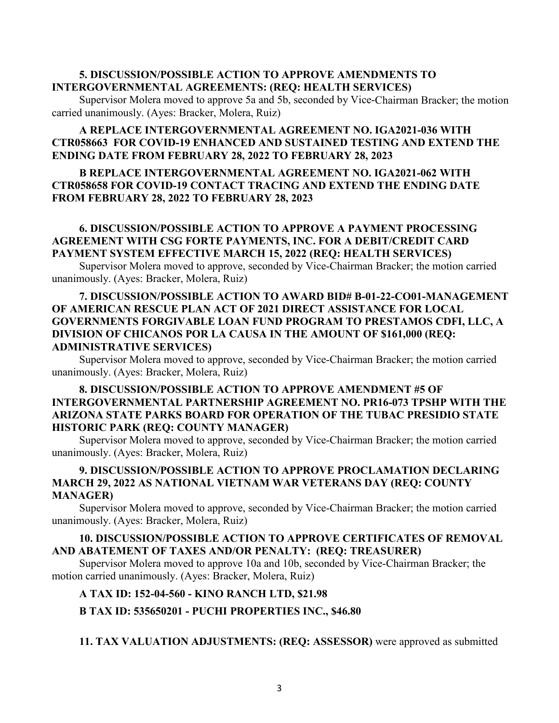### **5. DISCUSSION/POSSIBLE ACTION TO APPROVE AMENDMENTS TO INTERGOVERNMENTAL AGREEMENTS: (REQ: HEALTH SERVICES)**

Supervisor Molera moved to approve 5a and 5b, seconded by Vice-Chairman Bracker; the motion carried unanimously. (Ayes: Bracker, Molera, Ruiz)

### **A REPLACE INTERGOVERNMENTAL AGREEMENT NO. IGA2021-036 WITH CTR058663 FOR COVID-19 ENHANCED AND SUSTAINED TESTING AND EXTEND THE ENDING DATE FROM FEBRUARY 28, 2022 TO FEBRUARY 28, 2023**

### **B REPLACE INTERGOVERNMENTAL AGREEMENT NO. IGA2021-062 WITH CTR058658 FOR COVID-19 CONTACT TRACING AND EXTEND THE ENDING DATE FROM FEBRUARY 28, 2022 TO FEBRUARY 28, 2023**

### **6. DISCUSSION/POSSIBLE ACTION TO APPROVE A PAYMENT PROCESSING AGREEMENT WITH CSG FORTE PAYMENTS, INC. FOR A DEBIT/CREDIT CARD PAYMENT SYSTEM EFFECTIVE MARCH 15, 2022 (REQ: HEALTH SERVICES)**

Supervisor Molera moved to approve, seconded by Vice-Chairman Bracker; the motion carried unanimously. (Ayes: Bracker, Molera, Ruiz)

### **7. DISCUSSION/POSSIBLE ACTION TO AWARD BID# B-01-22-CO01-MANAGEMENT OF AMERICAN RESCUE PLAN ACT OF 2021 DIRECT ASSISTANCE FOR LOCAL GOVERNMENTS FORGIVABLE LOAN FUND PROGRAM TO PRESTAMOS CDFI, LLC, A DIVISION OF CHICANOS POR LA CAUSA IN THE AMOUNT OF \$161,000 (REQ: ADMINISTRATIVE SERVICES)**

Supervisor Molera moved to approve, seconded by Vice-Chairman Bracker; the motion carried unanimously. (Ayes: Bracker, Molera, Ruiz)

# **8. DISCUSSION/POSSIBLE ACTION TO APPROVE AMENDMENT #5 OF INTERGOVERNMENTAL PARTNERSHIP AGREEMENT NO. PR16-073 TPSHP WITH THE ARIZONA STATE PARKS BOARD FOR OPERATION OF THE TUBAC PRESIDIO STATE HISTORIC PARK (REQ: COUNTY MANAGER)**

Supervisor Molera moved to approve, seconded by Vice-Chairman Bracker; the motion carried unanimously. (Ayes: Bracker, Molera, Ruiz)

# **9. DISCUSSION/POSSIBLE ACTION TO APPROVE PROCLAMATION DECLARING MARCH 29, 2022 AS NATIONAL VIETNAM WAR VETERANS DAY (REQ: COUNTY MANAGER)**

Supervisor Molera moved to approve, seconded by Vice-Chairman Bracker; the motion carried unanimously. (Ayes: Bracker, Molera, Ruiz)

### **10. DISCUSSION/POSSIBLE ACTION TO APPROVE CERTIFICATES OF REMOVAL AND ABATEMENT OF TAXES AND/OR PENALTY: (REQ: TREASURER)**

Supervisor Molera moved to approve 10a and 10b, seconded by Vice-Chairman Bracker; the motion carried unanimously. (Ayes: Bracker, Molera, Ruiz)

#### **A TAX ID: 152-04-560 - KINO RANCH LTD, \$21.98**

#### **B TAX ID: 535650201 - PUCHI PROPERTIES INC., \$46.80**

**11. TAX VALUATION ADJUSTMENTS: (REQ: ASSESSOR)** were approved as submitted